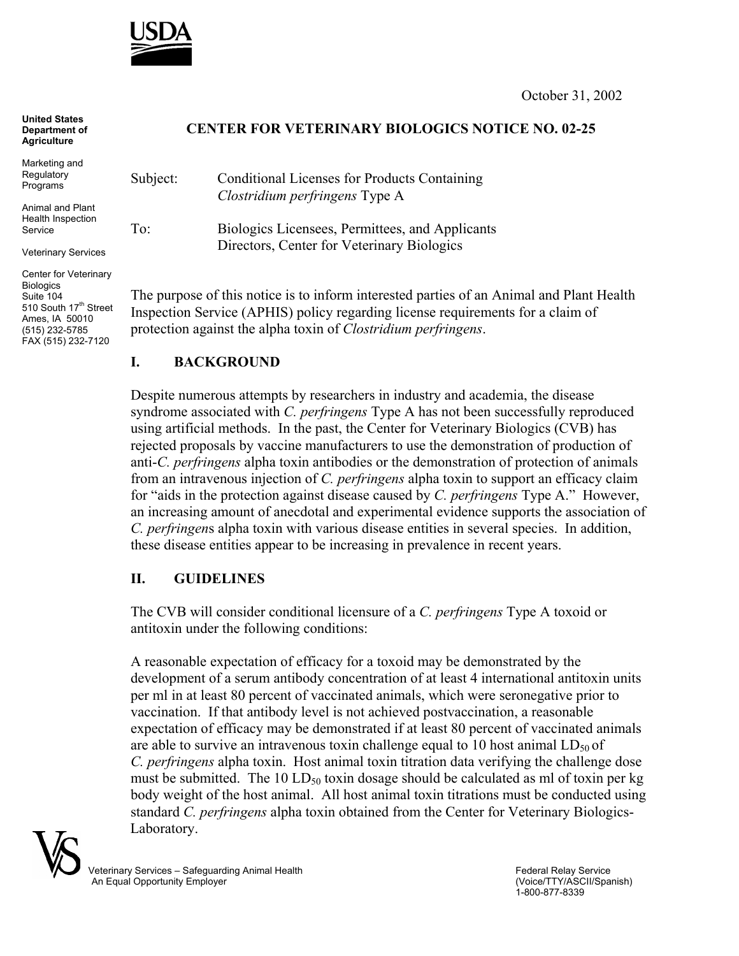

October 31, 2002

## **United States Department of Agriculture**

Marketing and **Regulatory** Programs

Animal and Plant Health Inspection Service

Veterinary Services

Center for Veterinary **Biologics** Suite 104 510 South 17<sup>th</sup> Street Ames, IA 50010 (515) 232-5785 FAX (515) 232-7120

## **CENTER FOR VETERINARY BIOLOGICS NOTICE NO. 02-25**

Subject: Conditional Licenses for Products Containing *Clostridium perfringens* Type A To: Biologics Licensees, Permittees, and Applicants

Directors, Center for Veterinary Biologics

The purpose of this notice is to inform interested parties of an Animal and Plant Health Inspection Service (APHIS) policy regarding license requirements for a claim of protection against the alpha toxin of *Clostridium perfringens*.

## **I. BACKGROUND**

Despite numerous attempts by researchers in industry and academia, the disease syndrome associated with *C. perfringens* Type A has not been successfully reproduced using artificial methods. In the past, the Center for Veterinary Biologics (CVB) has rejected proposals by vaccine manufacturers to use the demonstration of production of anti-*C. perfringens* alpha toxin antibodies or the demonstration of protection of animals from an intravenous injection of *C. perfringens* alpha toxin to support an efficacy claim for "aids in the protection against disease caused by *C. perfringens* Type A." However, an increasing amount of anecdotal and experimental evidence supports the association of *C. perfringen*s alpha toxin with various disease entities in several species. In addition, these disease entities appear to be increasing in prevalence in recent years.

## **II. GUIDELINES**

The CVB will consider conditional licensure of a *C. perfringens* Type A toxoid or antitoxin under the following conditions:

A reasonable expectation of efficacy for a toxoid may be demonstrated by the development of a serum antibody concentration of at least 4 international antitoxin units per ml in at least 80 percent of vaccinated animals, which were seronegative prior to vaccination. If that antibody level is not achieved postvaccination, a reasonable expectation of efficacy may be demonstrated if at least 80 percent of vaccinated animals are able to survive an intravenous toxin challenge equal to 10 host animal  $LD_{50}$  of *C. perfringens* alpha toxin. Host animal toxin titration data verifying the challenge dose must be submitted. The 10 LD $_{50}$  toxin dosage should be calculated as ml of toxin per kg body weight of the host animal. All host animal toxin titrations must be conducted using standard *C. perfringens* alpha toxin obtained from the Center for Veterinary Biologics-Laboratory.



Veterinary Services – Safeguarding Animal Health **Federal Relay Service**<br>
An Equal Opportunity Employer<br>
An Equal Opportunity Employer An Equal Opportunity Employer